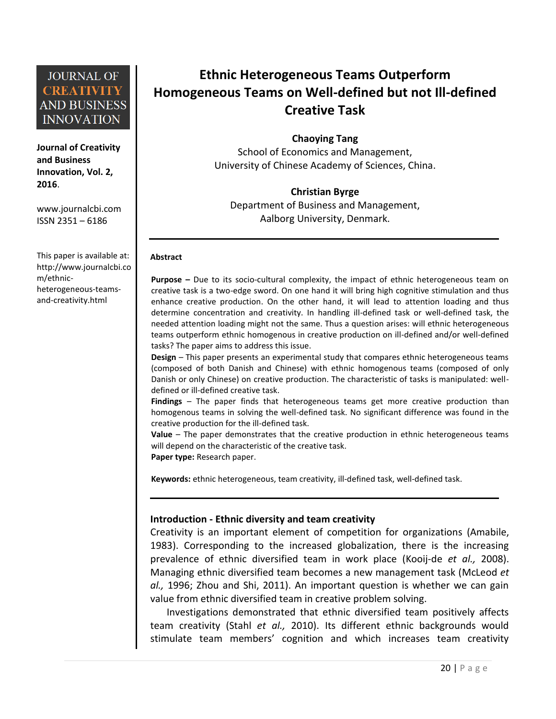**Journal of Creativity and Business Innovation, Vol. 2, 2016**.

[www.journalcbi.com](http://www.journalcbi.com/) ISSN 2351 – 6186

This paper is available at: [http://www.journalcbi.co](http://www.journalcbi.com/ideation-using-analogies.html) [m/ethnic](http://www.journalcbi.com/ideation-using-analogies.html)[heterogeneous-teams](http://www.journalcbi.com/ideation-using-analogies.html)[and-creativity.html](http://www.journalcbi.com/ideation-using-analogies.html)

# **Ethnic Heterogeneous Teams Outperform Homogeneous Teams on Well-defined but not Ill-defined Creative Task**

**Chaoying Tang** 

School of Economics and Management, University of Chinese Academy of Sciences, China.

### **Christian Byrge**

Department of Business and Management, Aalborg University, Denmark.

#### **Abstract**

**Purpose –** Due to its socio-cultural complexity, the impact of ethnic heterogeneous team on creative task is a two-edge sword. On one hand it will bring high cognitive stimulation and thus enhance creative production. On the other hand, it will lead to attention loading and thus determine concentration and creativity. In handling ill-defined task or well-defined task, the needed attention loading might not the same. Thus a question arises: will ethnic heterogeneous teams outperform ethnic homogenous in creative production on ill-defined and/or well-defined tasks? The paper aims to address this issue.

**Design** – This paper presents an experimental study that compares ethnic heterogeneous teams (composed of both Danish and Chinese) with ethnic homogenous teams (composed of only Danish or only Chinese) on creative production. The characteristic of tasks is manipulated: welldefined or ill-defined creative task.

**Findings** – The paper finds that heterogeneous teams get more creative production than homogenous teams in solving the well-defined task. No significant difference was found in the creative production for the ill-defined task.

**Value** – The paper demonstrates that the creative production in ethnic heterogeneous teams will depend on the characteristic of the creative task. **Paper type:** Research paper.

**Keywords:** ethnic heterogeneous, team creativity, ill-defined task, well-defined task.

#### **Introduction - Ethnic diversity and team creativity**

Creativity is an important element of competition for organizations (Amabile, 1983). Corresponding to the increased globalization, there is the increasing prevalence of ethnic diversified team in work place (Kooij-de *et al.,* 2008). Managing ethnic diversified team becomes a new management task [\(McLeod](http://sgr.sagepub.com/search?author1=Poppy+Lauretta+McLeod&sortspec=date&submit=Submit) *et al.,* 1996; Zhou and Shi, 2011). An important question is whether we can gain value from ethnic diversified team in creative problem solving.

Investigations demonstrated that ethnic diversified team positively affects team creativity (Stahl *et al.,* 2010). Its different ethnic backgrounds would stimulate team members' cognition and which increases team creativity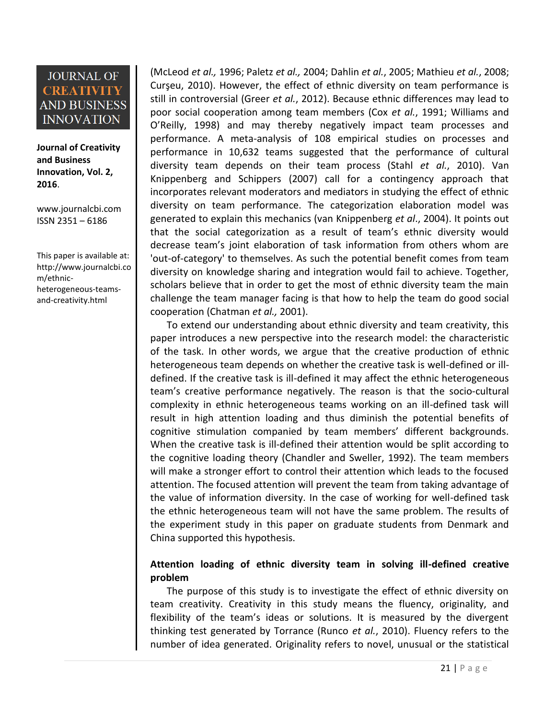**Journal of Creativity and Business Innovation, Vol. 2, 2016**.

[www.journalcbi.com](http://www.journalcbi.com/) ISSN 2351 – 6186

This paper is available at: [http://www.journalcbi.co](http://www.journalcbi.com/ideation-using-analogies.html) [m/ethnic](http://www.journalcbi.com/ideation-using-analogies.html)[heterogeneous-teams](http://www.journalcbi.com/ideation-using-analogies.html)[and-creativity.html](http://www.journalcbi.com/ideation-using-analogies.html)

(McLeod *et al.,* 1996; Paletz *et al.,* 2004; Dahlin *et al.*, 2005; Mathieu *et al.*, 2008; Curşeu, 2010). However, the effect of ethnic diversity on team performance is still in controversial (Greer *et al.*, 2012). Because ethnic differences may lead to poor social cooperation among team members (Cox *et al.*, 1991; Williams and O'Reilly, 1998) and may thereby negatively impact team processes and performance. A meta-analysis of 108 empirical studies on processes and performance in 10,632 teams suggested that the performance of cultural diversity team depends on their team process (Stahl *et al.*, 2010). Van Knippenberg and Schippers (2007) call for a contingency approach that incorporates relevant moderators and mediators in studying the effect of ethnic diversity on team performance. The categorization elaboration model was generated to explain this mechanics (van Knippenberg *et al*., 2004). It points out that the social categorization as a result of team's ethnic diversity would decrease team's joint elaboration of task information from others whom are 'out-of-category' to themselves. As such the potential benefit comes from team diversity on knowledge sharing and integration would fail to achieve. Together, scholars believe that in order to get the most of ethnic diversity team the main challenge the team manager facing is that how to help the team do good social cooperation (Chatman *et al.,* 2001).

To extend our understanding about ethnic diversity and team creativity, this paper introduces a new perspective into the research model: the characteristic of the task. In other words, we argue that the creative production of ethnic heterogeneous team depends on whether the creative task is well-defined or illdefined. If the creative task is ill-defined it may affect the ethnic heterogeneous team's creative performance negatively. The reason is that the socio-cultural complexity in ethnic heterogeneous teams working on an ill-defined task will result in high attention loading and thus diminish the potential benefits of cognitive stimulation companied by team members' different backgrounds. When the creative task is ill-defined their attention would be split according to the cognitive loading theory (Chandler and Sweller, 1992). The team members will make a stronger effort to control their attention which leads to the focused attention. The focused attention will prevent the team from taking advantage of the value of information diversity. In the case of working for well-defined task the ethnic heterogeneous team will not have the same problem. The results of the experiment study in this paper on graduate students from Denmark and China supported this hypothesis.

### **Attention loading of ethnic diversity team in solving ill-defined creative problem**

The purpose of this study is to investigate the effect of ethnic diversity on team creativity. Creativity in this study means the fluency, originality, and flexibility of the team's ideas or solutions. It is measured by the divergent thinking test generated by Torrance (Runco *et al.*, 2010). Fluency refers to the number of idea generated. Originality refers to novel, unusual or the statistical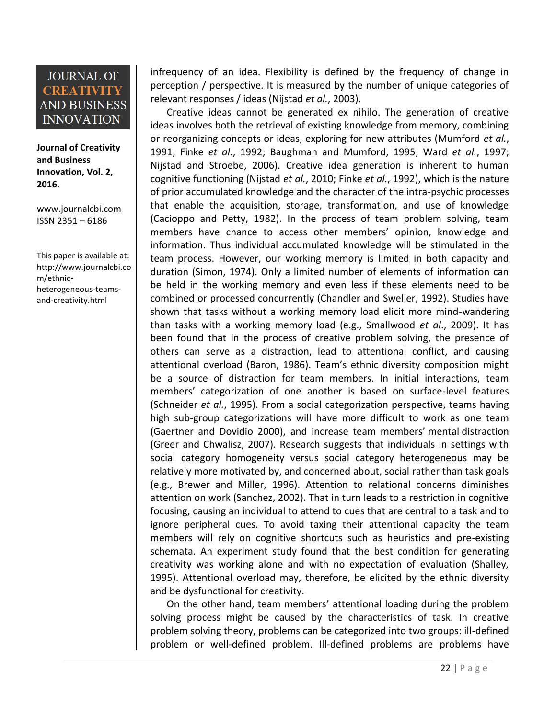**Journal of Creativity and Business Innovation, Vol. 2, 2016**.

[www.journalcbi.com](http://www.journalcbi.com/) ISSN 2351 – 6186

This paper is available at: [http://www.journalcbi.co](http://www.journalcbi.com/ideation-using-analogies.html) [m/ethnic](http://www.journalcbi.com/ideation-using-analogies.html)[heterogeneous-teams](http://www.journalcbi.com/ideation-using-analogies.html)[and-creativity.html](http://www.journalcbi.com/ideation-using-analogies.html)

infrequency of an idea. Flexibility is defined by the frequency of change in perception / perspective. It is measured by the number of unique categories of relevant responses / ideas (Nijstad *et al.*, 2003).

Creative ideas cannot be generated ex nihilo. The generation of creative ideas involves both the retrieval of existing knowledge from memory, combining or reorganizing concepts or ideas, exploring for new attributes (Mumford *et al.*, 1991; Finke *et al.*, 1992; Baughman and Mumford, 1995; Ward *et al.*, 1997; Nijstad and Stroebe, 2006). Creative idea generation is inherent to human cognitive functioning (Nijstad *et al.*, 2010; Finke *et al.*, 1992), which is the nature of prior accumulated knowledge and the character of the intra-psychic processes that enable the acquisition, storage, transformation, and use of knowledge (Cacioppo and Petty, 1982). In the process of team problem solving, team members have chance to access other members' opinion, knowledge and information. Thus individual accumulated knowledge will be stimulated in the team process. However, our working memory is limited in both capacity and duration (Simon, 1974). Only a limited number of elements of information can be held in the working memory and even less if these elements need to be combined or processed concurrently (Chandler and Sweller, 1992). Studies have shown that tasks without a working memory load elicit more mind-wandering than tasks with a working memory load (e.g., Smallwood *et al*., 2009). It has been found that in the process of creative problem solving, the presence of others can serve as a distraction, lead to attentional conflict, and causing attentional overload (Baron, 1986). Team's ethnic diversity composition might be a source of distraction for team members. In initial interactions, team members' categorization of one another is based on surface-level features (Schneider *et al.*, 1995). From a social categorization perspective, teams having high sub-group categorizations will have more difficult to work as one team (Gaertner and Dovidio 2000), and increase team members' mental distraction (Greer and Chwalisz, 2007). Research suggests that individuals in settings with social category homogeneity versus social category heterogeneous may be relatively more motivated by, and concerned about, social rather than task goals (e.g., Brewer and Miller, 1996). Attention to relational concerns diminishes attention on work (Sanchez, 2002). That in turn leads to a restriction in cognitive focusing, causing an individual to attend to cues that are central to a task and to ignore peripheral cues. To avoid taxing their attentional capacity the team members will rely on cognitive shortcuts such as heuristics and pre-existing schemata. An experiment study found that the best condition for generating creativity was working alone and with no expectation of evaluation (Shalley, 1995). Attentional overload may, therefore, be elicited by the ethnic diversity and be dysfunctional for creativity.

On the other hand, team members' attentional loading during the problem solving process might be caused by the characteristics of task. In creative problem solving theory, problems can be categorized into two groups: ill-defined problem or well-defined problem. Ill-defined problems are problems have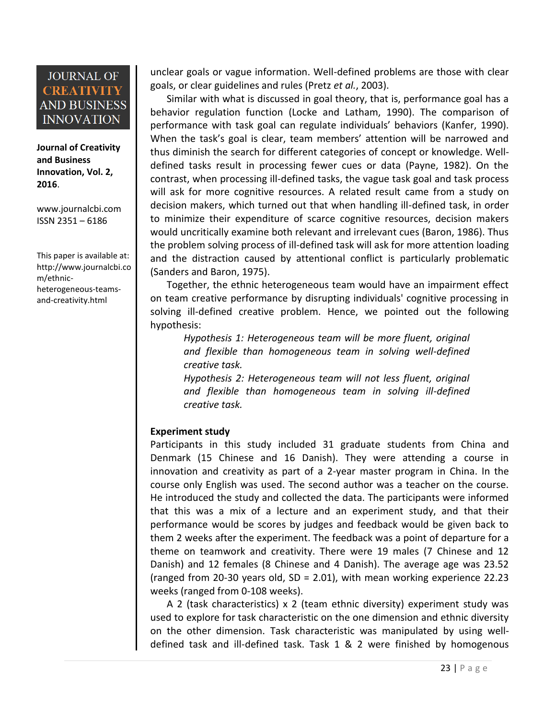**Journal of Creativity and Business Innovation, Vol. 2, 2016**.

[www.journalcbi.com](http://www.journalcbi.com/) ISSN 2351 – 6186

This paper is available at: [http://www.journalcbi.co](http://www.journalcbi.com/ideation-using-analogies.html) [m/ethnic](http://www.journalcbi.com/ideation-using-analogies.html)[heterogeneous-teams](http://www.journalcbi.com/ideation-using-analogies.html)[and-creativity.html](http://www.journalcbi.com/ideation-using-analogies.html)

unclear goals or vague information. Well-defined problems are those with clear goals, or clear guidelines and rules (Pretz *et al.*, 2003).

Similar with what is discussed in goal theory, that is, performance goal has a behavior regulation function (Locke and Latham, 1990). The comparison of performance with task goal can regulate individuals' behaviors (Kanfer, 1990). When the task's goal is clear, team members' attention will be narrowed and thus diminish the search for different categories of concept or knowledge. Welldefined tasks result in processing fewer cues or data (Payne, 1982). On the contrast, when processing ill-defined tasks, the vague task goal and task process will ask for more cognitive resources. A related result came from a study on decision makers, which turned out that when handling ill-defined task, in order to minimize their expenditure of scarce cognitive resources, decision makers would uncritically examine both relevant and irrelevant cues (Baron, 1986). Thus the problem solving process of ill-defined task will ask for more attention loading and the distraction caused by attentional conflict is particularly problematic (Sanders and Baron, 1975).

Together, the ethnic heterogeneous team would have an impairment effect on team creative performance by disrupting individuals' cognitive processing in solving ill-defined creative problem. Hence, we pointed out the following hypothesis:

*Hypothesis 1: Heterogeneous team will be more fluent, original and flexible than homogeneous team in solving well-defined creative task.*

*Hypothesis 2: Heterogeneous team will not less fluent, original and flexible than homogeneous team in solving ill-defined creative task.*

### **Experiment study**

Participants in this study included 31 graduate students from China and Denmark (15 Chinese and 16 Danish). They were attending a course in innovation and creativity as part of a 2-year master program in China. In the course only English was used. The second author was a teacher on the course. He introduced the study and collected the data. The participants were informed that this was a mix of a lecture and an experiment study, and that their performance would be scores by judges and feedback would be given back to them 2 weeks after the experiment. The feedback was a point of departure for a theme on teamwork and creativity. There were 19 males (7 Chinese and 12 Danish) and 12 females (8 Chinese and 4 Danish). The average age was 23.52 (ranged from 20-30 years old, SD = 2.01), with mean working experience 22.23 weeks (ranged from 0-108 weeks).

A 2 (task characteristics) x 2 (team ethnic diversity) experiment study was used to explore for task characteristic on the one dimension and ethnic diversity on the other dimension. Task characteristic was manipulated by using welldefined task and ill-defined task. Task 1 & 2 were finished by homogenous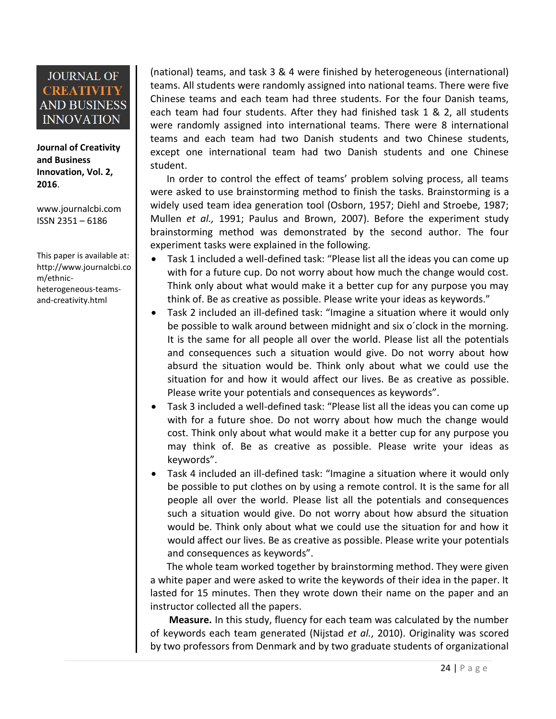**Journal of Creativity and Business Innovation, Vol. 2, 2016**.

[www.journalcbi.com](http://www.journalcbi.com/) ISSN 2351 – 6186

This paper is available at: [http://www.journalcbi.co](http://www.journalcbi.com/ideation-using-analogies.html) [m/ethnic](http://www.journalcbi.com/ideation-using-analogies.html)[heterogeneous-teams](http://www.journalcbi.com/ideation-using-analogies.html)[and-creativity.html](http://www.journalcbi.com/ideation-using-analogies.html)

(national) teams, and task 3 & 4 were finished by heterogeneous (international) teams. All students were randomly assigned into national teams. There were five Chinese teams and each team had three students. For the four Danish teams, each team had four students. After they had finished task 1 & 2, all students were randomly assigned into international teams. There were 8 international teams and each team had two Danish students and two Chinese students, except one international team had two Danish students and one Chinese student.

In order to control the effect of teams' problem solving process, all teams were asked to use brainstorming method to finish the tasks. Brainstorming is a widely used team idea generation tool (Osborn, 1957; Diehl and Stroebe, 1987; Mullen *et al.,* 1991; Paulus and Brown, 2007). Before the experiment study brainstorming method was demonstrated by the second author. The four experiment tasks were explained in the following.

- Task 1 included a well-defined task: "Please list all the ideas you can come up with for a future cup. Do not worry about how much the change would cost. Think only about what would make it a better cup for any purpose you may think of. Be as creative as possible. Please write your ideas as keywords."
- Task 2 included an ill-defined task: "Imagine a situation where it would only be possible to walk around between midnight and six o´clock in the morning. It is the same for all people all over the world. Please list all the potentials and consequences such a situation would give. Do not worry about how absurd the situation would be. Think only about what we could use the situation for and how it would affect our lives. Be as creative as possible. Please write your potentials and consequences as keywords".
- Task 3 included a well-defined task: "Please list all the ideas you can come up with for a future shoe. Do not worry about how much the change would cost. Think only about what would make it a better cup for any purpose you may think of. Be as creative as possible. Please write your ideas as keywords".
- Task 4 included an ill-defined task: "Imagine a situation where it would only be possible to put clothes on by using a remote control. It is the same for all people all over the world. Please list all the potentials and consequences such a situation would give. Do not worry about how absurd the situation would be. Think only about what we could use the situation for and how it would affect our lives. Be as creative as possible. Please write your potentials and consequences as keywords".

The whole team worked together by brainstorming method. They were given a white paper and were asked to write the keywords of their idea in the paper. It lasted for 15 minutes. Then they wrote down their name on the paper and an instructor collected all the papers.

**Measure.** In this study, fluency for each team was calculated by the number of keywords each team generated (Nijstad *et al.*, 2010). Originality was scored by two professors from Denmark and by two graduate students of organizational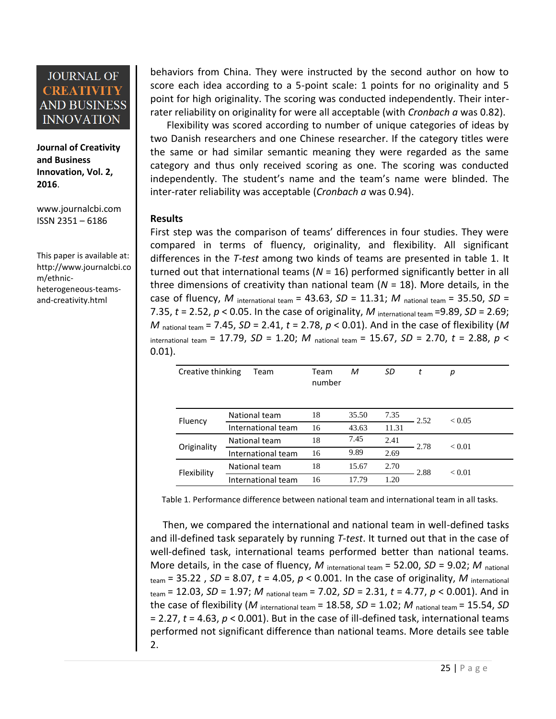**Journal of Creativity and Business Innovation, Vol. 2, 2016**.

[www.journalcbi.com](http://www.journalcbi.com/) ISSN 2351 – 6186

This paper is available at: [http://www.journalcbi.co](http://www.journalcbi.com/ideation-using-analogies.html) [m/ethnic](http://www.journalcbi.com/ideation-using-analogies.html)[heterogeneous-teams](http://www.journalcbi.com/ideation-using-analogies.html)[and-creativity.html](http://www.journalcbi.com/ideation-using-analogies.html)

behaviors from China. They were instructed by the second author on how to score each idea according to a 5-point scale: 1 points for no originality and 5 point for high originality. The scoring was conducted independently. Their interrater reliability on originality for were all acceptable (with *Cronbach a* was 0.82).

Flexibility was scored according to number of unique categories of ideas by two Danish researchers and one Chinese researcher. If the category titles were the same or had similar semantic meaning they were regarded as the same category and thus only received scoring as one. The scoring was conducted independently. The student's name and the team's name were blinded. The inter-rater reliability was acceptable (*Cronbach a* was 0.94).

#### **Results**

First step was the comparison of teams' differences in four studies. They were compared in terms of fluency, originality, and flexibility. All significant differences in the *T-test* among two kinds of teams are presented in table 1. It turned out that international teams (*N* = 16) performed significantly better in all three dimensions of creativity than national team (*N* = 18). More details, in the case of fluency, *M* international team = 43.63, *SD* = 11.31; *M* national team = 35.50, *SD* = 7.35,  $t = 2.52$ ,  $p < 0.05$ . In the case of originality, M international team = 9.89,  $SD = 2.69$ ; *M* national team = 7.45, *SD* = 2.41, *t* = 2.78, *p* < 0.01). And in the case of flexibility (*M* international team = 17.79, *SD* = 1.20; *M* national team = 15.67, *SD* = 2.70, *t* = 2.88, *p* < 0.01).

| Creative thinking | <b>Team</b>        | Team<br>number | М     | SD    | t    | р             |
|-------------------|--------------------|----------------|-------|-------|------|---------------|
| Fluency           | National team      | 18             | 35.50 | 7.35  | 2.52 | ${}_{< 0.05}$ |
|                   | International team | 16             | 43.63 | 11.31 |      |               |
| Originality       | National team      | 18             | 7.45  | 2.41  | 2.78 | ${}_{0.01}$   |
|                   | International team | 16             | 9.89  | 2.69  |      |               |
| Flexibility       | National team      | 18             | 15.67 | 2.70  | 2.88 | ${}_{0.01}$   |
|                   | International team | 16             | 17.79 | 1.20  |      |               |

Table 1. Performance difference between national team and international team in all tasks.

 Then, we compared the international and national team in well-defined tasks and ill-defined task separately by running *T-test*. It turned out that in the case of well-defined task, international teams performed better than national teams. More details, in the case of fluency, *M* international team = 52.00, *SD* = 9.02; *M* national  $t_{\text{team}} = 35.22$ ,  $SD = 8.07$ ,  $t = 4.05$ ,  $p < 0.001$ . In the case of originality, M international team = 12.03, *SD* = 1.97; *M* national team = 7.02, *SD* = 2.31, *t* = 4.77, *p* < 0.001). And in the case of flexibility (M international team  $= 18.58$ ,  $SD = 1.02$ ; M national team  $= 15.54$ , SD = 2.27, *t* = 4.63, *p* < 0.001). But in the case of ill-defined task, international teams performed not significant difference than national teams. More details see table 2.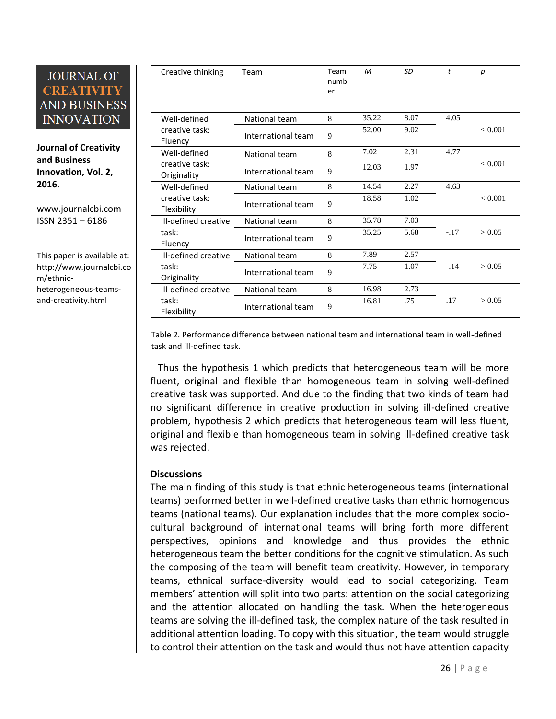**Journal of Creativity and Business Innovation, Vol. 2, 2016**.

[www.journalcbi.com](http://www.journalcbi.com/) ISSN 2351 – 6186

This paper is available at: [http://www.journalcbi.co](http://www.journalcbi.com/ideation-using-analogies.html) [m/ethnic](http://www.journalcbi.com/ideation-using-analogies.html)[heterogeneous-teams](http://www.journalcbi.com/ideation-using-analogies.html)[and-creativity.html](http://www.journalcbi.com/ideation-using-analogies.html)

| Creative thinking             | Team               | Team<br>numb<br>er | M     | SD   | t      | $\boldsymbol{p}$ |
|-------------------------------|--------------------|--------------------|-------|------|--------|------------------|
| Well-defined                  | National team      | 8                  | 35.22 | 8.07 | 4.05   |                  |
| creative task:<br>Fluency     | International team | 9                  | 52.00 | 9.02 |        | < 0.001          |
| Well-defined                  | National team      | 8                  | 7.02  | 2.31 | 4.77   |                  |
| creative task:<br>Originality | International team | 9                  | 12.03 | 1.97 |        | < 0.001          |
| Well-defined                  | National team      | 8                  | 14.54 | 2.27 | 4.63   |                  |
| creative task:<br>Flexibility | International team | 9                  | 18.58 | 1.02 |        | < 0.001          |
| Ill-defined creative          | National team      | 8                  | 35.78 | 7.03 |        |                  |
| task:<br>Fluency              | International team | 9                  | 35.25 | 5.68 | $-.17$ | > 0.05           |
| Ill-defined creative          | National team      | 8                  | 7.89  | 2.57 |        |                  |
| task:<br>Originality          | International team | 9                  | 7.75  | 1.07 | $-.14$ | > 0.05           |
| Ill-defined creative          | National team      | 8                  | 16.98 | 2.73 |        |                  |
| task:<br>Flexibility          | International team | 9                  | 16.81 | .75  | .17    | > 0.05           |

Table 2. Performance difference between national team and international team in well-defined task and ill-defined task.

 Thus the hypothesis 1 which predicts that heterogeneous team will be more fluent, original and flexible than homogeneous team in solving well-defined creative task was supported. And due to the finding that two kinds of team had no significant difference in creative production in solving ill-defined creative problem, hypothesis 2 which predicts that heterogeneous team will less fluent, original and flexible than homogeneous team in solving ill-defined creative task was rejected.

#### **Discussions**

The main finding of this study is that ethnic heterogeneous teams (international teams) performed better in well-defined creative tasks than ethnic homogenous teams (national teams). Our explanation includes that the more complex sociocultural background of international teams will bring forth more different perspectives, opinions and knowledge and thus provides the ethnic heterogeneous team the better conditions for the cognitive stimulation. As such the composing of the team will benefit team creativity. However, in temporary teams, ethnical surface-diversity would lead to social categorizing. Team members' attention will split into two parts: attention on the social categorizing and the attention allocated on handling the task. When the heterogeneous teams are solving the ill-defined task, the complex nature of the task resulted in additional attention loading. To copy with this situation, the team would struggle to control their attention on the task and would thus not have attention capacity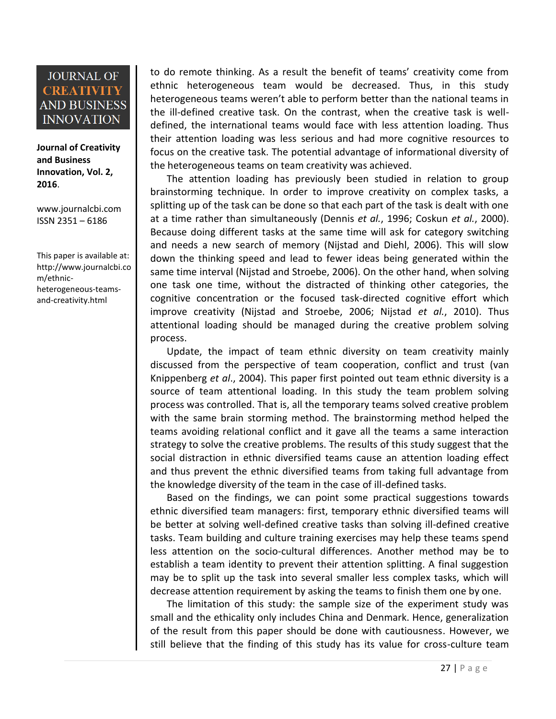**Journal of Creativity and Business Innovation, Vol. 2, 2016**.

[www.journalcbi.com](http://www.journalcbi.com/) ISSN 2351 – 6186

This paper is available at: [http://www.journalcbi.co](http://www.journalcbi.com/ideation-using-analogies.html) [m/ethnic](http://www.journalcbi.com/ideation-using-analogies.html)[heterogeneous-teams](http://www.journalcbi.com/ideation-using-analogies.html)[and-creativity.html](http://www.journalcbi.com/ideation-using-analogies.html)

to do remote thinking. As a result the benefit of teams' creativity come from ethnic heterogeneous team would be decreased. Thus, in this study heterogeneous teams weren't able to perform better than the national teams in the ill-defined creative task. On the contrast, when the creative task is welldefined, the international teams would face with less attention loading. Thus their attention loading was less serious and had more cognitive resources to focus on the creative task. The potential advantage of informational diversity of the heterogeneous teams on team creativity was achieved.

The attention loading has previously been studied in relation to group brainstorming technique. In order to improve creativity on complex tasks, a splitting up of the task can be done so that each part of the task is dealt with one at a time rather than simultaneously (Dennis *et al.*, 1996; Coskun *et al.*, 2000). Because doing different tasks at the same time will ask for category switching and needs a new search of memory (Nijstad and Diehl, 2006). This will slow down the thinking speed and lead to fewer ideas being generated within the same time interval (Nijstad and Stroebe, 2006). On the other hand, when solving one task one time, without the distracted of thinking other categories, the cognitive concentration or the focused task-directed cognitive effort which improve creativity (Nijstad and Stroebe, 2006; Nijstad *et al.*, 2010). Thus attentional loading should be managed during the creative problem solving process.

Update, the impact of team ethnic diversity on team creativity mainly discussed from the perspective of team cooperation, conflict and trust (van Knippenberg *et al*., 2004). This paper first pointed out team ethnic diversity is a source of team attentional loading. In this study the team problem solving process was controlled. That is, all the temporary teams solved creative problem with the same brain storming method. The brainstorming method helped the teams avoiding relational conflict and it gave all the teams a same interaction strategy to solve the creative problems. The results of this study suggest that the social distraction in ethnic diversified teams cause an attention loading effect and thus prevent the ethnic diversified teams from taking full advantage from the knowledge diversity of the team in the case of ill-defined tasks.

Based on the findings, we can point some practical suggestions towards ethnic diversified team managers: first, temporary ethnic diversified teams will be better at solving well-defined creative tasks than solving ill-defined creative tasks. Team building and culture training exercises may help these teams spend less attention on the socio-cultural differences. Another method may be to establish a team identity to prevent their attention splitting. A final suggestion may be to split up the task into several smaller less complex tasks, which will decrease attention requirement by asking the teams to finish them one by one.

The limitation of this study: the sample size of the experiment study was small and the ethicality only includes China and Denmark. Hence, generalization of the result from this paper should be done with cautiousness. However, we still believe that the finding of this study has its value for cross-culture team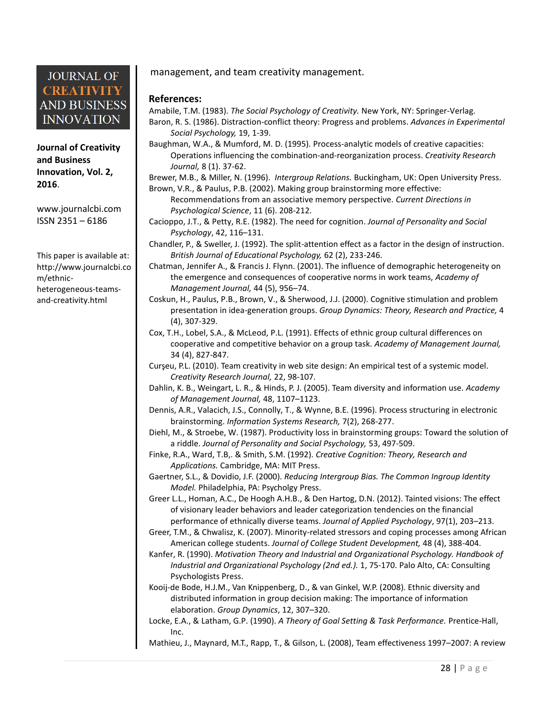**Journal of Creativity and Business Innovation, Vol. 2, 2016**.

[www.journalcbi.com](http://www.journalcbi.com/) ISSN 2351 – 6186

This paper is available at: [http://www.journalcbi.co](http://www.journalcbi.com/ideation-using-analogies.html) [m/ethnic](http://www.journalcbi.com/ideation-using-analogies.html)[heterogeneous-teams](http://www.journalcbi.com/ideation-using-analogies.html)[and-creativity.html](http://www.journalcbi.com/ideation-using-analogies.html)

#### management, and team creativity management.

#### **References:**

Amabile, T.M. (1983). *The Social Psychology of Creativity.* New York, NY: Springer-Verlag. Baron, R. S. (1986). Distraction-conflict theory: Progress and problems. *Advances in Experimental Social Psychology,* 19, 1-39.

Baughman, W.A., & Mumford, M. D. (1995). Process-analytic models of creative capacities: Operations influencing the combination-and-reorganization process. *Creativity Research Journal,* 8 (1). 37-62.

Brewer, M.B., & Miller, N. (1996). *Intergroup Relations.* Buckingham, UK: Open University Press.

- Brown, V.R., & Paulus, P.B. (2002). Making group brainstorming more effective: Recommendations from an associative memory perspective. *Current Directions in Psychological Science*, 11 (6). 208-212.
- Cacioppo, J.T., & Petty, R.E. (1982). The need for cognition. *Journal of Personality and Social Psychology*, 42, 116–131.
- Chandler, P., & Sweller, J. (1992). The split-attention effect as a factor in the design of instruction. *British Journal of Educational Psychology,* 62 (2), 233-246.
- Chatman, Jennifer A., & Francis J. Flynn. (2001). The influence of demographic heterogeneity on the emergence and consequences of cooperative norms in work teams, *Academy of Management Journal,* 44 (5), 956–74.
- Coskun, H., Paulus, P.B., Brown, V., & Sherwood, J.J. (2000). Cognitive stimulation and problem presentation in idea-generation groups. *Group Dynamics: Theory, Research and Practice,* 4 (4), 307-329.
- Cox, T.H., Lobel, S.A., & McLeod, P.L. (1991). Effects of ethnic group cultural differences on cooperative and competitive behavior on a group task. *Academy of Management Journal,* 34 (4), 827-847.
- Curşeu, P.L. (2010). Team creativity in web site design: An empirical test of a systemic model. *Creativity Research Journal,* 22, 98-107.
- Dahlin, K. B., Weingart, L. R., & Hinds, P. J. (2005). Team diversity and information use. *Academy of Management Journal,* 48, 1107–1123.
- Dennis, A.R., Valacich, J.S., Connolly, T., & Wynne, B.E. (1996). Process structuring in electronic brainstorming. *Information Systems Research,* 7(2), 268-277.
- Diehl, M., & Stroebe, W. (1987). Productivity loss in brainstorming groups: Toward the solution of a riddle. *Journal of Personality and Social Psychology,* 53, 497-509.
- Finke, R.A., Ward, T.B,. & Smith, S.M. (1992). *Creative Cognition: Theory, Research and Applications.* Cambridge, MA: MIT Press.
- Gaertner, S.L., & Dovidio, J.F. (2000). *Reducing Intergroup Bias. The Common Ingroup Identity Model.* Philadelphia, PA: Psycholgy Press.
- Greer L.L., Homan, A.C., De Hoogh A.H.B., & Den Hartog, D.N. (2012). Tainted visions: The effect of visionary leader behaviors and leader categorization tendencies on the financial performance of ethnically diverse teams. *Journal of Applied Psychology*, 97(1), 203–213.
- Greer, T.M., & Chwalisz, K. (2007). Minority-related stressors and coping processes among African American college students. *Journal of College Student Development,* 48 (4), 388-404.
- Kanfer, R. (1990). *Motivation Theory and Industrial and Organizational Psychology. Handbook of Industrial and Organizational Psychology (2nd ed.).* 1, 75-170. Palo Alto, CA: Consulting Psychologists Press.
- Kooij-de Bode, H.J.M., Van Knippenberg, D., & van Ginkel, W.P. (2008). Ethnic diversity and distributed information in group decision making: The importance of information elaboration. *Group Dynamics*, 12, 307–320.
- Locke, E.A., & Latham, G.P. (1990). *A Theory of Goal Setting & Task Performance.* Prentice-Hall, Inc.

Mathieu, J., Maynard, M.T., Rapp, T., & Gilson, L. (2008), Team effectiveness 1997–2007: A review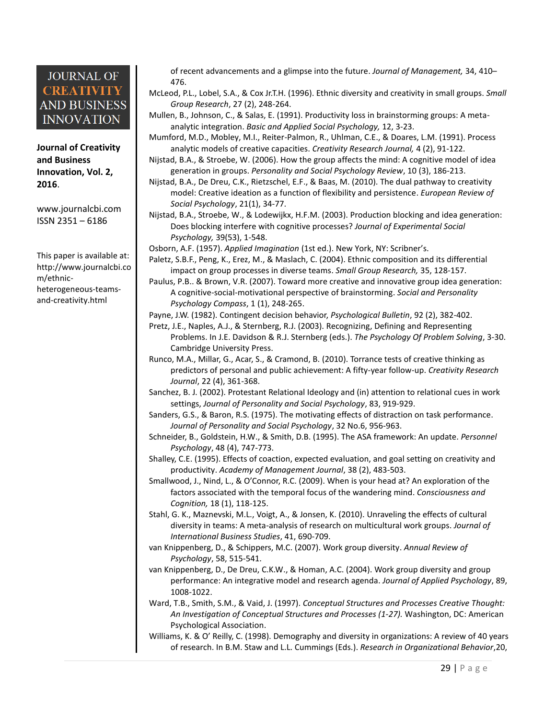**Journal of Creativity and Business Innovation, Vol. 2, 2016**.

[www.journalcbi.com](http://www.journalcbi.com/) ISSN 2351 – 6186

This paper is available at: [http://www.journalcbi.co](http://www.journalcbi.com/ideation-using-analogies.html) [m/ethnic](http://www.journalcbi.com/ideation-using-analogies.html)[heterogeneous-teams](http://www.journalcbi.com/ideation-using-analogies.html)[and-creativity.html](http://www.journalcbi.com/ideation-using-analogies.html)

of recent advancements and a glimpse into the future. *Journal of Management,* 34, 410– 476.

McLeod, P.L., Lobel, S.A., & Cox Jr.T.H. (1996). Ethnic diversity and creativity in small groups. *Small Group Research*, 27 (2), 248-264.

Mullen, B., Johnson, C., & Salas, E. (1991). Productivity loss in brainstorming groups: A metaanalytic integration. *Basic and Applied Social Psychology,* 12, 3-23.

Mumford, M.D., Mobley, M.I., Reiter-Palmon, R., Uhlman, C.E., & Doares, L.M. (1991). Process analytic models of creative capacities. *Creativity Research Journal,* 4 (2), 91-122.

Nijstad, B.A., & Stroebe, W. (2006). How the group affects the mind: A cognitive model of idea generation in groups. *Personality and Social Psychology Review*, 10 (3), 186-213.

Nijstad, B.A., De Dreu, C.K., Rietzschel, E.F., & Baas, M. (2010). The dual pathway to creativity model: Creative ideation as a function of flexibility and persistence. *European Review of Social Psychology*, 21(1), 34-77.

Nijstad, B.A., Stroebe, W., & Lodewijkx, H.F.M. (2003). Production blocking and idea generation: Does blocking interfere with cognitive processes? *Journal of Experimental Social Psychology,* 39(53), 1-548.

Osborn, A.F. (1957). *Applied Imagination* (1st ed.). New York, NY: Scribner's.

Paletz, S.B.F., Peng, K., Erez, M., & Maslach, C. (2004). Ethnic composition and its differential impact on group processes in diverse teams. *Small Group Research,* 35, 128-157.

Paulus, P.B.. & Brown, V.R. (2007). Toward more creative and innovative group idea generation: A cognitive-social-motivational perspective of brainstorming. *Social and Personality Psychology Compass*, 1 (1), 248-265.

Payne, J.W. (1982). Contingent decision behavior, *Psychological Bulletin*, 92 (2), 382-402.

- Pretz, J.E., Naples, A.J., & Sternberg, R.J. (2003). Recognizing, Defining and Representing Problems. In J.E. Davidson & R.J. Sternberg (eds.). *The Psychology Of Problem Solving*, 3-30. Cambridge University Press.
- Runco, M.A., Millar, G., Acar, S., & Cramond, B. (2010). Torrance tests of creative thinking as predictors of personal and public achievement: A fifty-year follow-up. *Creativity Research Journal*, 22 (4), 361-368.

Sanchez, B. J. (2002). Protestant Relational Ideology and (in) attention to relational cues in work settings, *Journal of Personality and Social Psychology*, 83, 919-929.

Sanders, G.S., & Baron, R.S. (1975). The motivating effects of distraction on task performance. *Journal of Personality and Social Psychology*, 32 No.6, 956-963.

Schneider, B., Goldstein, H.W., & Smith, D.B. (1995). The ASA framework: An update. *Personnel Psychology*, 48 (4), 747-773.

Shalley, C.E. (1995). Effects of coaction, expected evaluation, and goal setting on creativity and productivity. *Academy of Management Journal*, 38 (2), 483-503.

Smallwood, J., Nind, L., & O'Connor, R.C. (2009). When is your head at? An exploration of the factors associated with the temporal focus of the wandering mind. *Consciousness and Cognition,* 18 (1), 118-125.

Stahl, G. K., Maznevski, M.L., Voigt, A., & Jonsen, K. (2010). Unraveling the effects of cultural diversity in teams: A meta-analysis of research on multicultural work groups. *Journal of International Business Studies*, 41, 690-709.

van Knippenberg, D., & Schippers, M.C. (2007). Work group diversity. *Annual Review of Psychology*, 58, 515-541.

van Knippenberg, D., De Dreu, C.K.W., & Homan, A.C. (2004). Work group diversity and group performance: An integrative model and research agenda. *Journal of Applied Psychology*, 89, 1008-1022.

Ward, T.B., Smith, S.M., & Vaid, J. (1997). *Conceptual Structures and Processes Creative Thought: An Investigation of Conceptual Structures and Processes (1-27).* Washington, DC: American Psychological Association.

Williams, K. & O' Reilly, C. (1998). Demography and diversity in organizations: A review of 40 years of research. In B.M. Staw and L.L. Cummings (Eds.). *Research in Organizational Behavior*,20,